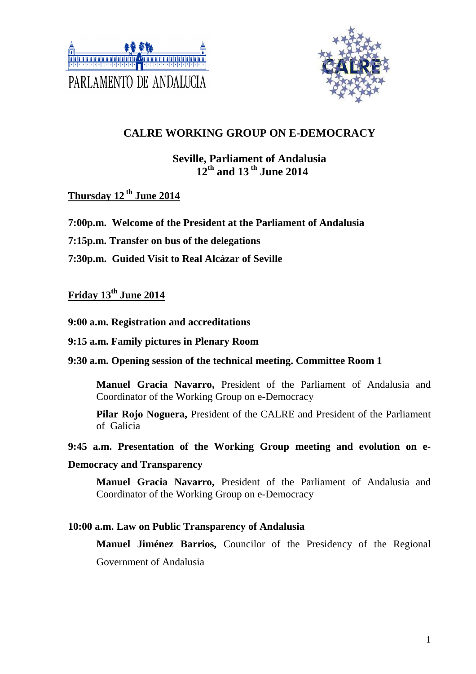



# **CALRE WORKING GROUP ON E-DEMOCRACY**

## **Seville, Parliament of Andalusia 12th and 13 th June 2014**

# **Thursday 12 th June 2014**

- **7:00p.m. Welcome of the President at the Parliament of Andalusia**
- **7:15p.m. Transfer on bus of the delegations**
- **7:30p.m. Guided Visit to Real Alcázar of Seville**

# **Friday 13th June 2014**

#### **9:00 a.m. Registration and accreditations**

#### **9:15 a.m. Family pictures in Plenary Room**

#### **9:30 a.m. Opening session of the technical meeting. Committee Room 1**

 **Manuel Gracia Navarro,** President of the Parliament of Andalusia and Coordinator of the Working Group on e-Democracy

**Pilar Rojo Noguera,** President of the CALRE and President of the Parliament of Galicia

#### **9:45 a.m. Presentation of the Working Group meeting and evolution on e-**

#### **Democracy and Transparency**

**Manuel Gracia Navarro,** President of the Parliament of Andalusia and Coordinator of the Working Group on e-Democracy

#### **10:00 a.m. Law on Public Transparency of Andalusia**

**Manuel Jiménez Barrios,** Councilor of the Presidency of the Regional Government of Andalusia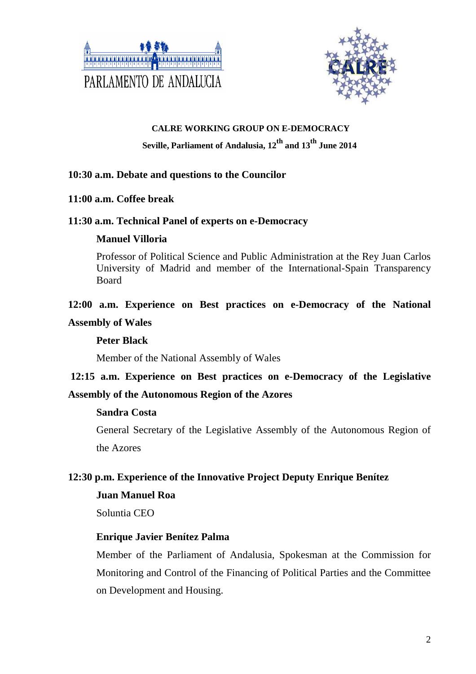



### **CALRE WORKING GROUP ON E-DEMOCRACY**

# **Seville, Parliament of Andalusia, 12th and 13th June 2014**

### **10:30 a.m. Debate and questions to the Councilor**

#### **11:00 a.m. Coffee break**

### **11:30 a.m. Technical Panel of experts on e-Democracy**

### **Manuel Villoria**

Professor of Political Science and Public Administration at the Rey Juan Carlos University of Madrid and member of the International-Spain Transparency **Board** 

# **12:00 a.m. Experience on Best practices on e-Democracy of the National Assembly of Wales**

### **Peter Black**

Member of the National Assembly of Wales

# **12:15 a.m. Experience on Best practices on e-Democracy of the Legislative Assembly of the Autonomous Region of the Azores**

#### **Sandra Costa**

General Secretary of the Legislative Assembly of the Autonomous Region of the Azores

## **12:30 p.m. Experience of the Innovative Project Deputy Enrique Benítez**

#### **Juan Manuel Roa**

Soluntia CEO

## **Enrique Javier Benítez Palma**

Member of the Parliament of Andalusia, Spokesman at the Commission for Monitoring and Control of the Financing of Political Parties and the Committee on Development and Housing.